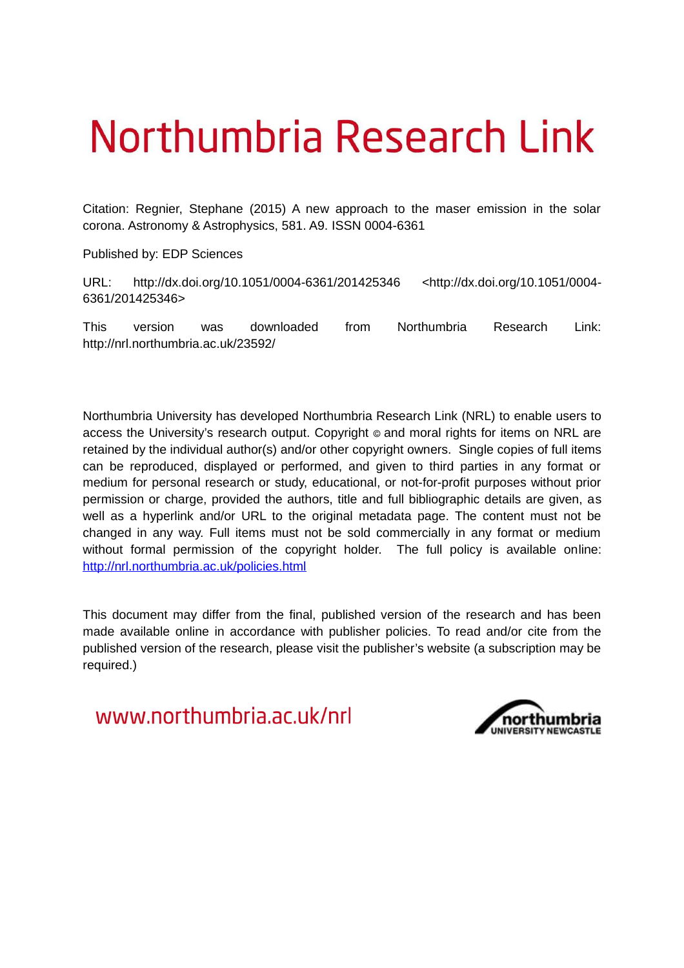# Northumbria Research Link

Citation: Regnier, Stephane (2015) A new approach to the maser emission in the solar corona. Astronomy & Astrophysics, 581. A9. ISSN 0004-6361

Published by: EDP Sciences

URL: http://dx.doi.org/10.1051/0004-6361/201425346 <http://dx.doi.org/10.1051/0004- 6361/201425346>

This version was downloaded from Northumbria Research Link: http://nrl.northumbria.ac.uk/23592/

Northumbria University has developed Northumbria Research Link (NRL) to enable users to access the University's research output. Copyright  $\circ$  and moral rights for items on NRL are retained by the individual author(s) and/or other copyright owners. Single copies of full items can be reproduced, displayed or performed, and given to third parties in any format or medium for personal research or study, educational, or not-for-profit purposes without prior permission or charge, provided the authors, title and full bibliographic details are given, as well as a hyperlink and/or URL to the original metadata page. The content must not be changed in any way. Full items must not be sold commercially in any format or medium without formal permission of the copyright holder. The full policy is available online: <http://nrl.northumbria.ac.uk/policies.html>

This document may differ from the final, published version of the research and has been made available online in accordance with publisher policies. To read and/or cite from the published version of the research, please visit the publisher's website (a subscription may be required.)

www.northumbria.ac.uk/nrl

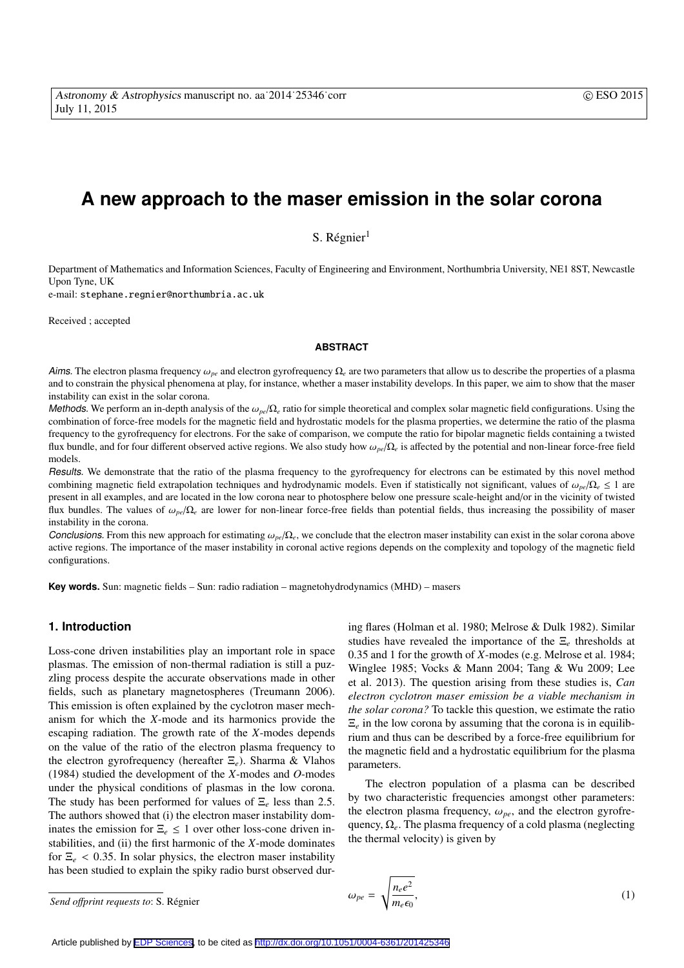## **A new approach to the maser emission in the solar corona**

S. Régnier<sup>1</sup>

Department of Mathematics and Information Sciences, Faculty of Engineering and Environment, Northumbria University, NE1 8ST, Newcastle Upon Tyne, UK

e-mail: stephane.regnier@northumbria.ac.uk

Received ; accepted

#### **ABSTRACT**

Aims. The electron plasma frequency  $\omega_{pe}$  and electron gyrofrequency  $\Omega_e$  are two parameters that allow us to describe the properties of a plasma and to constrain the physical phenomena at play, for instance, whether a maser instability develops. In this paper, we aim to show that the maser instability can exist in the solar corona.

Methods. We perform an in-depth analysis of the  $\omega_{pe}/\Omega_e$  ratio for simple theoretical and complex solar magnetic field configurations. Using the combination of force-free models for the magnetic field and hydrostatic models for the plasma properties, we determine the ratio of the plasma frequency to the gyrofrequency for electrons. For the sake of comparison, we compute the ratio for bipolar magnetic fields containing a twisted flux bundle, and for four different observed active regions. We also study how ω*pe*/Ω*<sup>e</sup>* is affected by the potential and non-linear force-free field models.

Results. We demonstrate that the ratio of the plasma frequency to the gyrofrequency for electrons can be estimated by this novel method combining magnetic field extrapolation techniques and hydrodynamic models. Even if statistically not significant, values of ω*pe*/Ω*<sup>e</sup>* ≤ 1 are present in all examples, and are located in the low corona near to photosphere below one pressure scale-height and/or in the vicinity of twisted flux bundles. The values of  $\omega_{pe}/\Omega_e$  are lower for non-linear force-free fields than potential fields, thus increasing the possibility of maser instability in the corona.

Conclusions. From this new approach for estimating  $\omega_{pe}/\Omega_e$ , we conclude that the electron maser instability can exist in the solar corona above active regions. The importance of the maser instability in coronal active regions depends on the complexity and topology of the magnetic field configurations.

**Key words.** Sun: magnetic fields – Sun: radio radiation – magnetohydrodynamics (MHD) – masers

#### **1. Introduction**

Loss-cone driven instabilities play an important role in space plasmas. The emission of non-thermal radiation is still a puzzling process despite the accurate observations made in other fields, such as planetary magnetospheres (Treumann 2006). This emission is often explained by the cyclotron maser mechanism for which the *X*-mode and its harmonics provide the escaping radiation. The growth rate of the *X*-modes depends on the value of the ratio of the electron plasma frequency to the electron gyrofrequency (hereafter Ξ*e*). Sharma & Vlahos (1984) studied the development of the *X*-modes and *O*-modes under the physical conditions of plasmas in the low corona. The study has been performed for values of Ξ*<sup>e</sup>* less than 2.5. The authors showed that (i) the electron maser instability dominates the emission for  $\Xi_e \leq 1$  over other loss-cone driven instabilities, and (ii) the first harmonic of the *X*-mode dominates for  $\Xi_e$  < 0.35. In solar physics, the electron maser instability has been studied to explain the spiky radio burst observed during flares (Holman et al. 1980; Melrose & Dulk 1982). Similar studies have revealed the importance of the Ξ*<sup>e</sup>* thresholds at 0.35 and 1 for the growth of *X*-modes (e.g. Melrose et al. 1984; Winglee 1985; Vocks & Mann 2004; Tang & Wu 2009; Lee et al. 2013). The question arising from these studies is, *Can electron cyclotron maser emission be a viable mechanism in the solar corona?* To tackle this question, we estimate the ratio  $\Xi_e$  in the low corona by assuming that the corona is in equilibrium and thus can be described by a force-free equilibrium for the magnetic field and a hydrostatic equilibrium for the plasma parameters.

The electron population of a plasma can be described by two characteristic frequencies amongst other parameters: the electron plasma frequency,  $\omega_{pe}$ , and the electron gyrofrequency, Ω*e*. The plasma frequency of a cold plasma (neglecting the thermal velocity) is given by

$$
\omega_{pe} = \sqrt{\frac{n_e e^2}{m_e \epsilon_0}},\tag{1}
$$

*Send o*ff*print requests to*: S. Regnier ´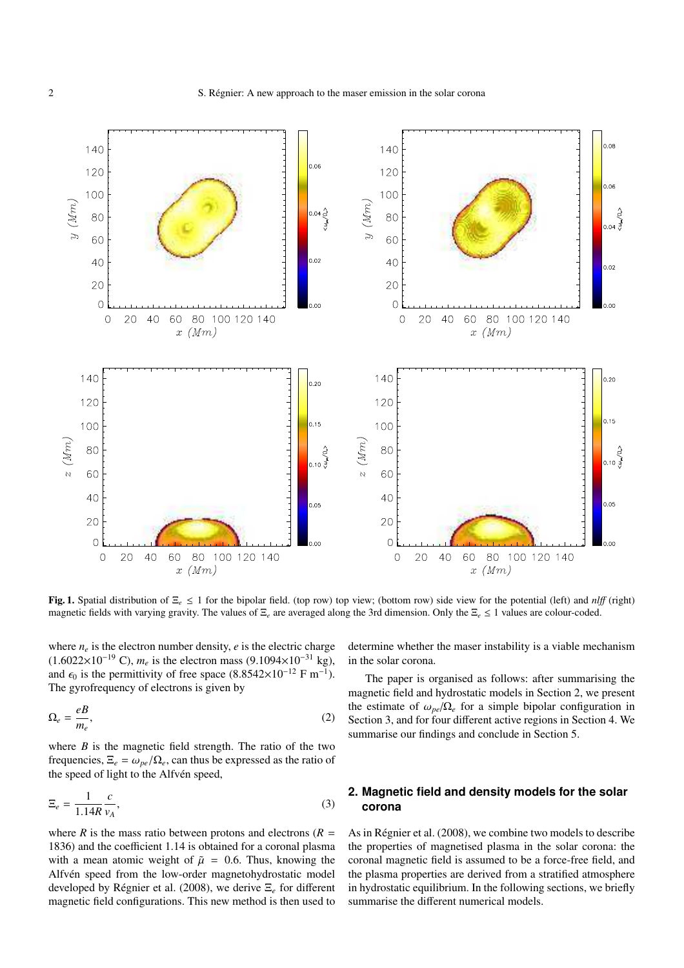

Fig. 1. Spatial distribution of Ξ*<sup>e</sup>* ≤ 1 for the bipolar field. (top row) top view; (bottom row) side view for the potential (left) and *nl*ff (right) magnetic fields with varying gravity. The values of Ξ*<sup>e</sup>* are averaged along the 3rd dimension. Only the Ξ*<sup>e</sup>* ≤ 1 values are colour-coded.

where  $n_e$  is the electron number density,  $e$  is the electric charge (1.6022×10−<sup>19</sup> C), *<sup>m</sup><sup>e</sup>* is the electron mass (9.1094×10−<sup>31</sup> kg), and  $\epsilon_0$  is the permittivity of free space (8.8542×10<sup>-12</sup> F m<sup>-1</sup>). The gyrofrequency of electrons is given by

$$
\Omega_e = \frac{eB}{m_e},\tag{2}
$$

where  $B$  is the magnetic field strength. The ratio of the two frequencies,  $\Xi_e = \omega_{pe}/\Omega_e$ , can thus be expressed as the ratio of the speed of light to the Alfvén speed,

$$
\Xi_e = \frac{1}{1.14R} \frac{c}{v_A},\tag{3}
$$

where *R* is the mass ratio between protons and electrons  $(R =$ 1836) and the coefficient 1.14 is obtained for a coronal plasma with a mean atomic weight of  $\tilde{\mu} = 0.6$ . Thus, knowing the Alfvén speed from the low-order magnetohydrostatic model developed by Régnier et al. (2008), we derive  $\Xi$ <sub>*e*</sub> for different magnetic field configurations. This new method is then used to

determine whether the maser instability is a viable mechanism in the solar corona.

The paper is organised as follows: after summarising the magnetic field and hydrostatic models in Section 2, we present the estimate of  $\omega_{pe}/\Omega_e$  for a simple bipolar configuration in Section 3, and for four different active regions in Section 4. We summarise our findings and conclude in Section 5.

### **2. Magnetic field and density models for the solar corona**

As in Régnier et al. (2008), we combine two models to describe the properties of magnetised plasma in the solar corona: the coronal magnetic field is assumed to be a force-free field, and the plasma properties are derived from a stratified atmosphere in hydrostatic equilibrium. In the following sections, we briefly summarise the different numerical models.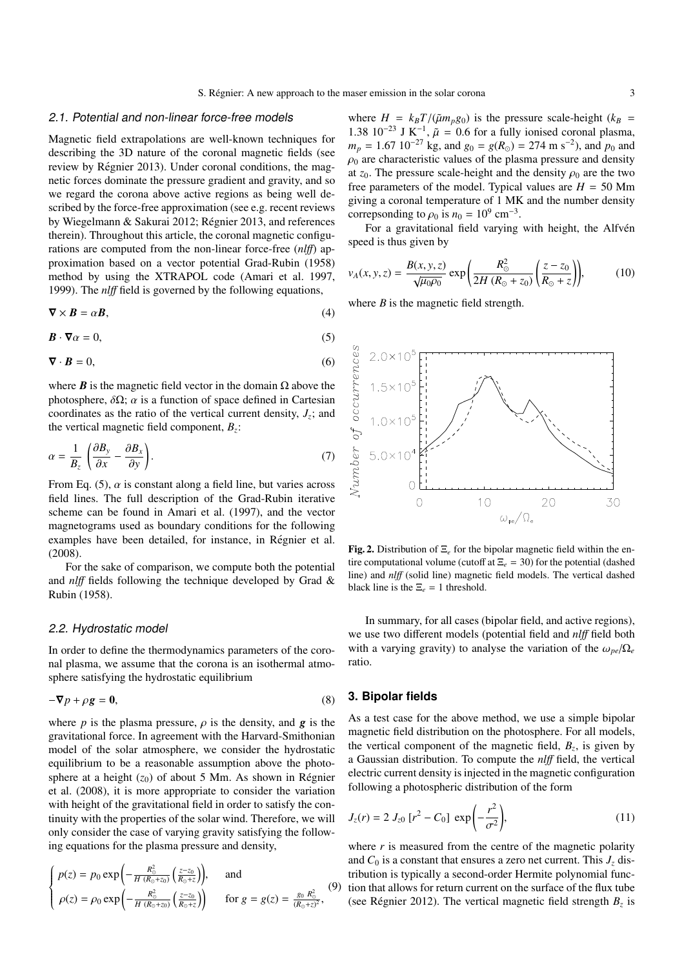#### 2.1. Potential and non-linear force-free models

Magnetic field extrapolations are well-known techniques for describing the 3D nature of the coronal magnetic fields (see review by Régnier 2013). Under coronal conditions, the magnetic forces dominate the pressure gradient and gravity, and so we regard the corona above active regions as being well described by the force-free approximation (see e.g. recent reviews by Wiegelmann & Sakurai 2012; Régnier 2013, and references therein). Throughout this article, the coronal magnetic configurations are computed from the non-linear force-free (*nl*ff) approximation based on a vector potential Grad-Rubin (1958) method by using the XTRAPOL code (Amari et al. 1997, 1999). The *nl*ff field is governed by the following equations,

$$
\nabla \times \mathbf{B} = \alpha \mathbf{B},\tag{4}
$$

$$
\mathbf{B} \cdot \nabla \alpha = 0,\tag{5}
$$

$$
\nabla \cdot \mathbf{B} = 0,\tag{6}
$$

where  $\bf{B}$  is the magnetic field vector in the domain  $\Omega$  above the photosphere,  $\delta\Omega$ ;  $\alpha$  is a function of space defined in Cartesian coordinates as the ratio of the vertical current density,  $J_z$ ; and the vertical magnetic field component, *B<sup>z</sup>* :

$$
\alpha = \frac{1}{B_z} \left( \frac{\partial B_y}{\partial x} - \frac{\partial B_x}{\partial y} \right). \tag{7}
$$

From Eq. (5),  $\alpha$  is constant along a field line, but varies across field lines. The full description of the Grad-Rubin iterative scheme can be found in Amari et al. (1997), and the vector magnetograms used as boundary conditions for the following examples have been detailed, for instance, in Régnier et al. (2008).

For the sake of comparison, we compute both the potential and *nl*ff fields following the technique developed by Grad & Rubin (1958).

#### 2.2. Hydrostatic model

In order to define the thermodynamics parameters of the coronal plasma, we assume that the corona is an isothermal atmosphere satisfying the hydrostatic equilibrium

$$
-\nabla p + \rho g = 0, \tag{8}
$$

where *p* is the plasma pressure,  $\rho$  is the density, and **g** is the gravitational force. In agreement with the Harvard-Smithonian model of the solar atmosphere, we consider the hydrostatic equilibrium to be a reasonable assumption above the photosphere at a height  $(z_0)$  of about 5 Mm. As shown in Régnier et al. (2008), it is more appropriate to consider the variation with height of the gravitational field in order to satisfy the continuity with the properties of the solar wind. Therefore, we will only consider the case of varying gravity satisfying the following equations for the plasma pressure and density,

$$
\begin{cases}\np(z) = p_0 \exp\left(-\frac{R_{\odot}^2}{H(R_0 + z_0)} \left(\frac{z - z_0}{R_0 + z}\right)\right), & \text{and} \\
\rho(z) = \rho_0 \exp\left(-\frac{R_{\odot}^2}{H(R_0 + z_0)} \left(\frac{z - z_0}{R_0 + z}\right)\right) & \text{for } g = g(z) = \frac{g_0 R_{\odot}^2}{(R_0 + z)^2},\n\end{cases} (9)
$$

where  $H = k_B T / (\tilde{\mu} m_p g_0)$  is the pressure scale-height ( $k_B$  = 1.38 10<sup>-23</sup> J K<sup>-1</sup>,  $\tilde{\mu} = 0.6$  for a fully ionised coronal plasma,  $m_p = 1.67 \, 10^{-27} \, \text{kg}$ , and  $g_0 = g(R_\odot) = 274 \, \text{m s}^{-2}$ ), and  $p_0$  and  $\rho_0$  are characteristic values of the plasma pressure and density at  $z_0$ . The pressure scale-height and the density  $\rho_0$  are the two free parameters of the model. Typical values are  $H = 50$  Mm giving a coronal temperature of 1 MK and the number density correpsonding to  $\rho_0$  is  $n_0 = 10^9$  cm<sup>-3</sup>.

For a gravitational field varying with height, the Alfvén speed is thus given by

$$
v_A(x, y, z) = \frac{B(x, y, z)}{\sqrt{\mu_0 \rho_0}} \exp\left(\frac{R_{\odot}^2}{2H (R_{\odot} + z_0)} \left(\frac{z - z_0}{R_{\odot} + z}\right)\right),\tag{10}
$$

where  $B$  is the magnetic field strength.



Fig. 2. Distribution of Ξ*<sup>e</sup>* for the bipolar magnetic field within the entire computational volume (cutoff at  $\Xi_e = 30$ ) for the potential (dashed line) and *nl*ff (solid line) magnetic field models. The vertical dashed black line is the  $\Xi_e = 1$  threshold.

In summary, for all cases (bipolar field, and active regions), we use two different models (potential field and *nl*ff field both with a varying gravity) to analyse the variation of the  $\omega_{pe}/\Omega_e$ ratio.

#### **3. Bipolar fields**

As a test case for the above method, we use a simple bipolar magnetic field distribution on the photosphere. For all models, the vertical component of the magnetic field,  $B_z$ , is given by a Gaussian distribution. To compute the *nl*ff field, the vertical electric current density is injected in the magnetic configuration following a photospheric distribution of the form

$$
J_z(r) = 2 J_{z0} [r^2 - C_0] \exp\left(-\frac{r^2}{\sigma^2}\right), \tag{11}
$$

(9) tion that allows for return current on the surface of the flux tube where  $r$  is measured from the centre of the magnetic polarity and  $C_0$  is a constant that ensures a zero net current. This  $J_z$  distribution is typically a second-order Hermite polynomial func-(see Régnier 2012). The vertical magnetic field strength  $B_z$  is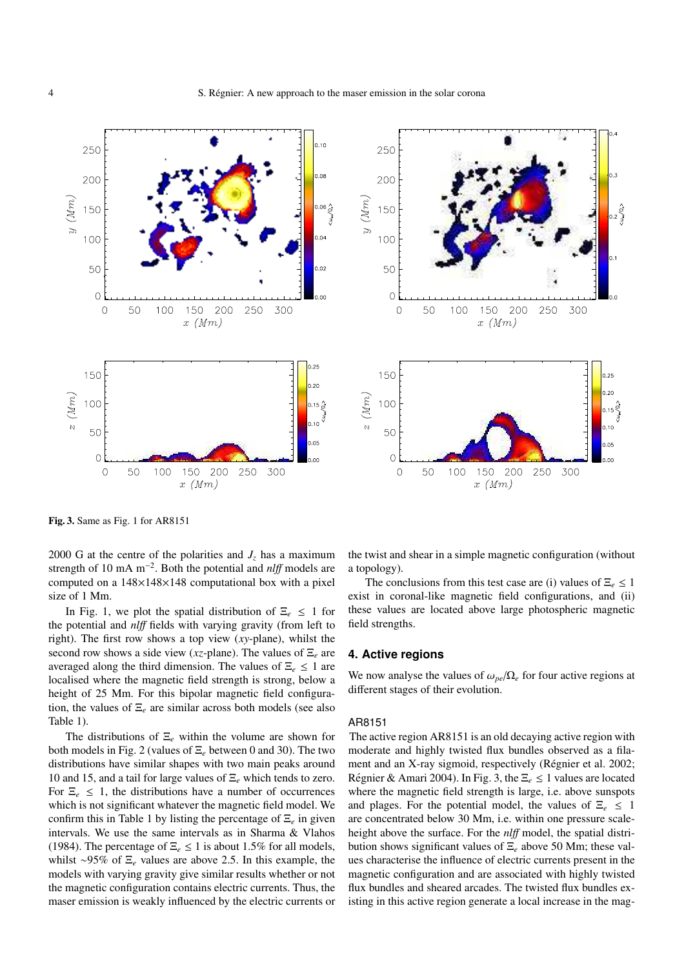

Fig. 3. Same as Fig. 1 for AR8151

2000 G at the centre of the polarities and  $J_z$  has a maximum strength of 10 mA m−<sup>2</sup> . Both the potential and *nl*ff models are computed on a 148×148×148 computational box with a pixel size of 1 Mm.

In Fig. 1, we plot the spatial distribution of  $\Xi_e \leq 1$  for the potential and *nl*ff fields with varying gravity (from left to right). The first row shows a top view (*xy*-plane), whilst the second row shows a side view (*xz*-plane). The values of Ξ*<sup>e</sup>* are averaged along the third dimension. The values of  $\Xi_e \leq 1$  are localised where the magnetic field strength is strong, below a height of 25 Mm. For this bipolar magnetic field configuration, the values of Ξ*<sup>e</sup>* are similar across both models (see also Table 1).

The distributions of Ξ*<sup>e</sup>* within the volume are shown for both models in Fig. 2 (values of Ξ*<sup>e</sup>* between 0 and 30). The two distributions have similar shapes with two main peaks around 10 and 15, and a tail for large values of Ξ*<sup>e</sup>* which tends to zero. For  $\Xi_e \leq 1$ , the distributions have a number of occurrences which is not significant whatever the magnetic field model. We confirm this in Table 1 by listing the percentage of Ξ*<sup>e</sup>* in given intervals. We use the same intervals as in Sharma & Vlahos (1984). The percentage of  $\Xi_e \leq 1$  is about 1.5% for all models, whilst ∼95% of Ξ*<sup>e</sup>* values are above 2.5. In this example, the models with varying gravity give similar results whether or not the magnetic configuration contains electric currents. Thus, the maser emission is weakly influenced by the electric currents or

the twist and shear in a simple magnetic configuration (without a topology).

The conclusions from this test case are (i) values of  $\Xi_e \leq 1$ exist in coronal-like magnetic field configurations, and (ii) these values are located above large photospheric magnetic field strengths.

#### **4. Active regions**

We now analyse the values of  $\omega_{pe}/\Omega_e$  for four active regions at different stages of their evolution.

#### AR8151

The active region AR8151 is an old decaying active region with moderate and highly twisted flux bundles observed as a filament and an X-ray sigmoid, respectively (Régnier et al. 2002; Régnier & Amari 2004). In Fig. 3, the  $\Xi_e \leq 1$  values are located where the magnetic field strength is large, i.e. above sunspots and plages. For the potential model, the values of  $\Xi_e \leq 1$ are concentrated below 30 Mm, i.e. within one pressure scaleheight above the surface. For the *nl*ff model, the spatial distribution shows significant values of Ξ*<sup>e</sup>* above 50 Mm; these values characterise the influence of electric currents present in the magnetic configuration and are associated with highly twisted flux bundles and sheared arcades. The twisted flux bundles existing in this active region generate a local increase in the mag-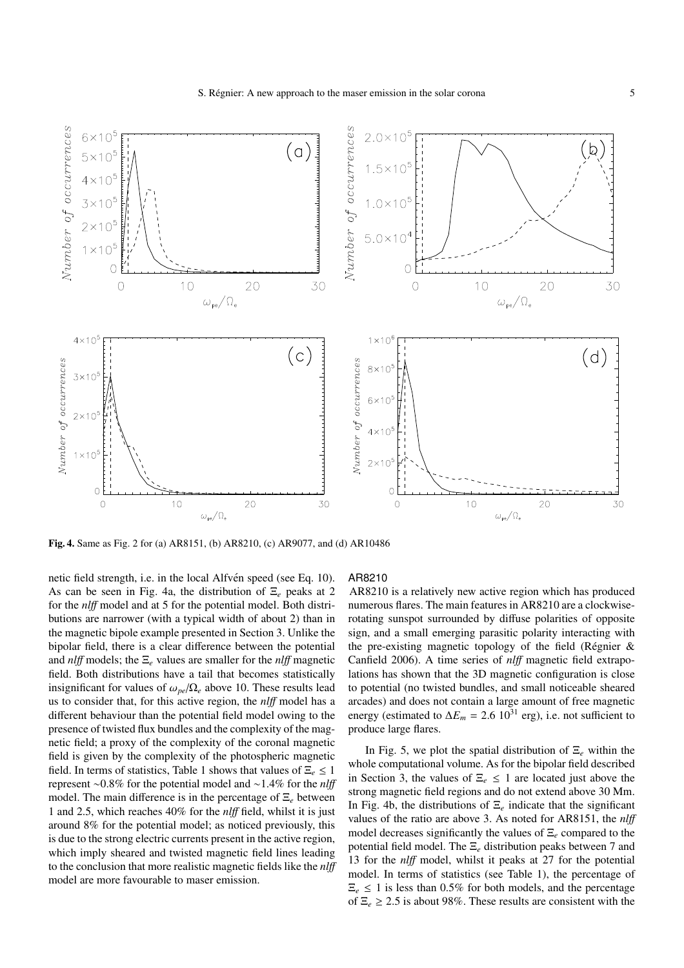

Fig. 4. Same as Fig. 2 for (a) AR8151, (b) AR8210, (c) AR9077, and (d) AR10486

netic field strength, i.e. in the local Alfvén speed (see Eq. 10). As can be seen in Fig. 4a, the distribution of Ξ*<sup>e</sup>* peaks at 2 for the *nl*ff model and at 5 for the potential model. Both distributions are narrower (with a typical width of about 2) than in the magnetic bipole example presented in Section 3. Unlike the bipolar field, there is a clear difference between the potential and *nl*ff models; the Ξ*<sup>e</sup>* values are smaller for the *nl*ff magnetic field. Both distributions have a tail that becomes statistically insignificant for values of  $\omega_{pe}/\Omega_e$  above 10. These results lead us to consider that, for this active region, the *nl*ff model has a different behaviour than the potential field model owing to the presence of twisted flux bundles and the complexity of the magnetic field; a proxy of the complexity of the coronal magnetic field is given by the complexity of the photospheric magnetic field. In terms of statistics, Table 1 shows that values of  $\Xi_e \leq 1$ represent ∼0.8% for the potential model and ∼1.4% for the *nl*ff model. The main difference is in the percentage of Ξ*<sup>e</sup>* between 1 and 2.5, which reaches 40% for the *nl*ff field, whilst it is just around 8% for the potential model; as noticed previously, this is due to the strong electric currents present in the active region, which imply sheared and twisted magnetic field lines leading to the conclusion that more realistic magnetic fields like the *nl*ff model are more favourable to maser emission.

#### AR8210

AR8210 is a relatively new active region which has produced numerous flares. The main features in AR8210 are a clockwiserotating sunspot surrounded by diffuse polarities of opposite sign, and a small emerging parasitic polarity interacting with the pre-existing magnetic topology of the field (Régnier  $\&$ Canfield 2006). A time series of *nl*ff magnetic field extrapolations has shown that the 3D magnetic configuration is close to potential (no twisted bundles, and small noticeable sheared arcades) and does not contain a large amount of free magnetic energy (estimated to  $\Delta E_m = 2.6 \, 10^{31} \, \text{erg}$ ), i.e. not sufficient to produce large flares.

In Fig. 5, we plot the spatial distribution of Ξ*<sup>e</sup>* within the whole computational volume. As for the bipolar field described in Section 3, the values of  $\Xi_e \leq 1$  are located just above the strong magnetic field regions and do not extend above 30 Mm. In Fig. 4b, the distributions of  $\Xi_e$  indicate that the significant values of the ratio are above 3. As noted for AR8151, the *nl*ff model decreases significantly the values of Ξ*<sup>e</sup>* compared to the potential field model. The Ξ*<sup>e</sup>* distribution peaks between 7 and 13 for the *nl*ff model, whilst it peaks at 27 for the potential model. In terms of statistics (see Table 1), the percentage of  $\Xi_e \leq 1$  is less than 0.5% for both models, and the percentage of  $\Xi_e \geq 2.5$  is about 98%. These results are consistent with the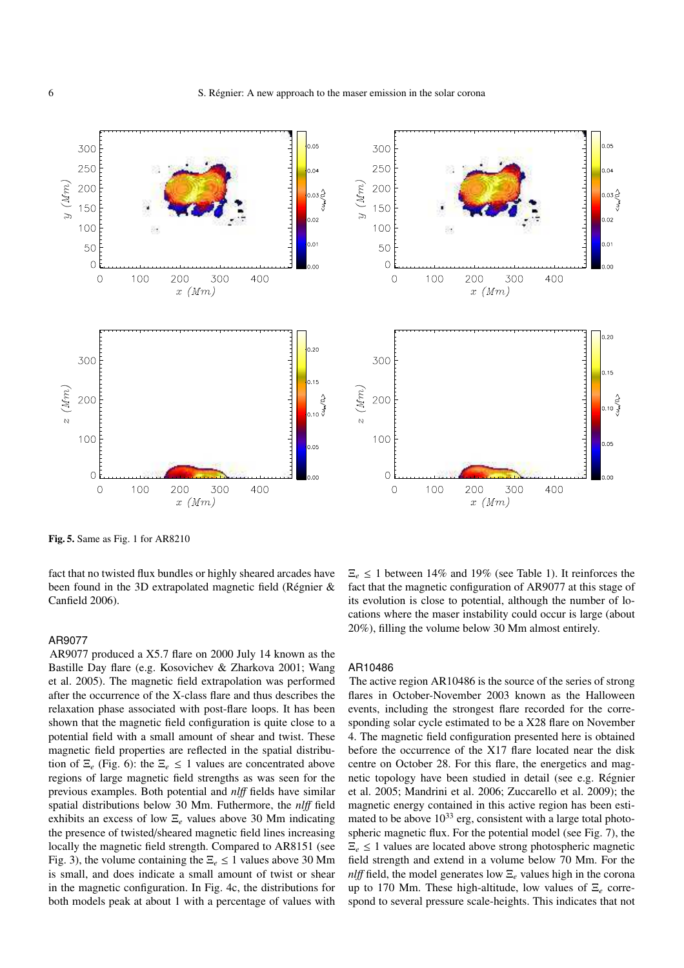



Fig. 5. Same as Fig. 1 for AR8210

fact that no twisted flux bundles or highly sheared arcades have been found in the 3D extrapolated magnetic field (Régnier  $\&$ Canfield 2006).

#### AR9077

AR9077 produced a X5.7 flare on 2000 July 14 known as the Bastille Day flare (e.g. Kosovichev & Zharkova 2001; Wang et al. 2005). The magnetic field extrapolation was performed after the occurrence of the X-class flare and thus describes the relaxation phase associated with post-flare loops. It has been shown that the magnetic field configuration is quite close to a potential field with a small amount of shear and twist. These magnetic field properties are reflected in the spatial distribution of  $\Xi_e$  (Fig. 6): the  $\Xi_e \leq 1$  values are concentrated above regions of large magnetic field strengths as was seen for the previous examples. Both potential and *nl*ff fields have similar spatial distributions below 30 Mm. Futhermore, the *nl*ff field exhibits an excess of low Ξ*<sup>e</sup>* values above 30 Mm indicating the presence of twisted/sheared magnetic field lines increasing locally the magnetic field strength. Compared to AR8151 (see Fig. 3), the volume containing the  $\Xi_e \leq 1$  values above 30 Mm is small, and does indicate a small amount of twist or shear in the magnetic configuration. In Fig. 4c, the distributions for both models peak at about 1 with a percentage of values with

 $\Xi_e \leq 1$  between 14% and 19% (see Table 1). It reinforces the fact that the magnetic configuration of AR9077 at this stage of its evolution is close to potential, although the number of locations where the maser instability could occur is large (about 20%), filling the volume below 30 Mm almost entirely.

#### AR10486

The active region AR10486 is the source of the series of strong flares in October-November 2003 known as the Halloween events, including the strongest flare recorded for the corresponding solar cycle estimated to be a X28 flare on November 4. The magnetic field configuration presented here is obtained before the occurrence of the X17 flare located near the disk centre on October 28. For this flare, the energetics and magnetic topology have been studied in detail (see e.g. Regnier ´ et al. 2005; Mandrini et al. 2006; Zuccarello et al. 2009); the magnetic energy contained in this active region has been estimated to be above  $10^{33}$  erg, consistent with a large total photospheric magnetic flux. For the potential model (see Fig. 7), the  $\Xi_e \leq 1$  values are located above strong photospheric magnetic field strength and extend in a volume below 70 Mm. For the *nlff* field, the model generates low Ξ<sub>*e*</sub> values high in the corona up to 170 Mm. These high-altitude, low values of Ξ*<sup>e</sup>* correspond to several pressure scale-heights. This indicates that not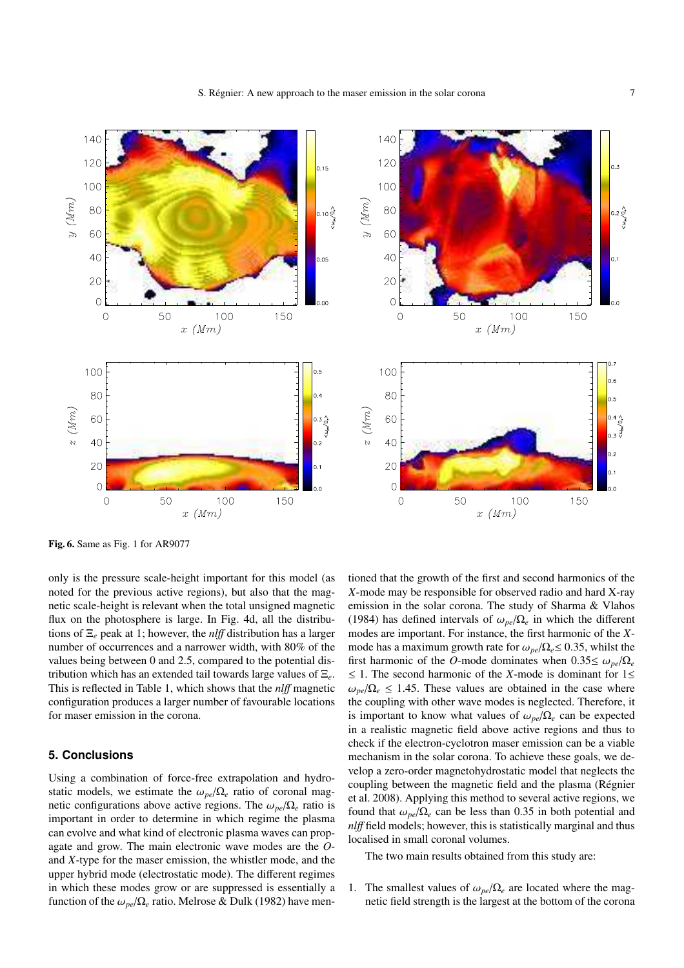

Fig. 6. Same as Fig. 1 for AR9077

only is the pressure scale-height important for this model (as noted for the previous active regions), but also that the magnetic scale-height is relevant when the total unsigned magnetic flux on the photosphere is large. In Fig. 4d, all the distributions of Ξ*<sup>e</sup>* peak at 1; however, the *nl*ff distribution has a larger number of occurrences and a narrower width, with 80% of the values being between 0 and 2.5, compared to the potential distribution which has an extended tail towards large values of Ξ*e*. This is reflected in Table 1, which shows that the *nl*ff magnetic configuration produces a larger number of favourable locations for maser emission in the corona.

#### **5. Conclusions**

Using a combination of force-free extrapolation and hydrostatic models, we estimate the  $\omega_{pe}/\Omega_e$  ratio of coronal magnetic configurations above active regions. The  $\omega_{pe}/\Omega_e$  ratio is important in order to determine in which regime the plasma can evolve and what kind of electronic plasma waves can propagate and grow. The main electronic wave modes are the *O*and *X*-type for the maser emission, the whistler mode, and the upper hybrid mode (electrostatic mode). The different regimes in which these modes grow or are suppressed is essentially a function of the  $\omega_{pe}/\Omega_e$  ratio. Melrose & Dulk (1982) have mentioned that the growth of the first and second harmonics of the *X*-mode may be responsible for observed radio and hard X-ray emission in the solar corona. The study of Sharma & Vlahos (1984) has defined intervals of  $\omega_{pe}/\Omega_e$  in which the different modes are important. For instance, the first harmonic of the *X*mode has a maximum growth rate for  $\omega_{pe}/\Omega_e \leq 0.35$ , whilst the first harmonic of the *O*-mode dominates when  $0.35 \le \omega_{pe}/\Omega_e$ ≤ 1. The second harmonic of the *X*-mode is dominant for 1≤  $\omega_{pe}/\Omega_e \leq 1.45$ . These values are obtained in the case where the coupling with other wave modes is neglected. Therefore, it is important to know what values of  $\omega_{pe}/\Omega_e$  can be expected in a realistic magnetic field above active regions and thus to check if the electron-cyclotron maser emission can be a viable mechanism in the solar corona. To achieve these goals, we develop a zero-order magnetohydrostatic model that neglects the coupling between the magnetic field and the plasma (Régnier et al. 2008). Applying this method to several active regions, we found that  $\omega_{pe}/\Omega_e$  can be less than 0.35 in both potential and *nlff* field models; however, this is statistically marginal and thus localised in small coronal volumes.

The two main results obtained from this study are:

1. The smallest values of  $\omega_{pe}/\Omega_e$  are located where the magnetic field strength is the largest at the bottom of the corona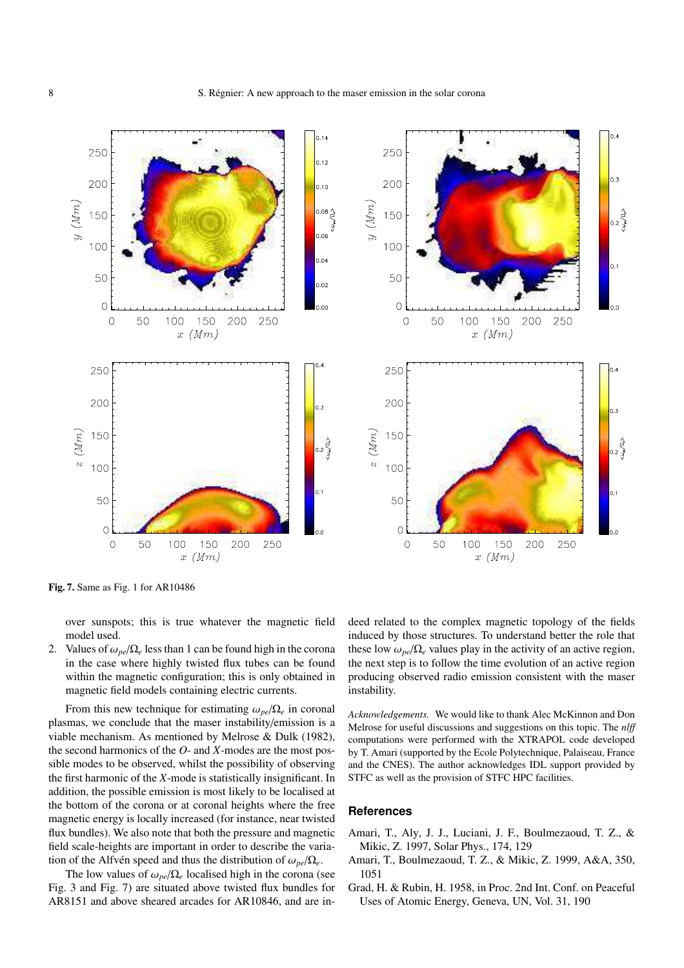$0.14$ 250 250  $0.12$ 200 200  $0.10$  $y(Mm)$  $y( Mm)$  $0.08 \frac{\Delta}{\xi^2}$  $15C$ 150  $0.06$ 100 100  $0.04$  $0.1$ 50 50  $0.02$  $\overline{O}$  $\overline{O}$  $\circ$ 50 100 150 200 250 50 100 150 200 250  $\hbox{O}$  $x \ (Mm)$  $x \ (Mm)$ 250 250 200 200  $z$  (Mm) 150  $z \ (Mm)$ 150  $rac{1}{2}$ <br>0.2  $rac{1}{3}$ 100 100 50 50  $\overline{O}$  $\Omega$ 200 250 100 100 150 50 150 200 250  $\circ$ 50  $\circ$  $x \ (Mm)$  $x \ (Mm)$ 

Fig. 7. Same as Fig. 1 for AR10486

over sunspots; this is true whatever the magnetic field model used.

2. Values of  $\omega_{pe}/\Omega_e$  less than 1 can be found high in the corona in the case where highly twisted flux tubes can be found within the magnetic configuration; this is only obtained in magnetic field models containing electric currents.

From this new technique for estimating  $\omega_{pe}/\Omega_e$  in coronal plasmas, we conclude that the maser instability/emission is a viable mechanism. As mentioned by Melrose & Dulk (1982), the second harmonics of the *O*- and *X*-modes are the most possible modes to be observed, whilst the possibility of observing the first harmonic of the *X*-mode is statistically insignificant. In addition, the possible emission is most likely to be localised at the bottom of the corona or at coronal heights where the free magnetic energy is locally increased (for instance, near twisted flux bundles). We also note that both the pressure and magnetic field scale-heights are important in order to describe the variation of the Alfvén speed and thus the distribution of  $\omega_{pe}/\Omega_e$ .

The low values of  $\omega_{pe}/\Omega_e$  localised high in the corona (see Fig. 3 and Fig. 7) are situated above twisted flux bundles for AR8151 and above sheared arcades for AR10846, and are indeed related to the complex magnetic topology of the fields induced by those structures. To understand better the role that these low  $\omega_{pe}/\Omega_e$  values play in the activity of an active region, the next step is to follow the time evolution of an active region producing observed radio emission consistent with the maser instability.

*Acknowledgements.* We would like to thank Alec McKinnon and Don Melrose for useful discussions and suggestions on this topic. The *nl*ff computations were performed with the XTRAPOL code developed by T. Amari (supported by the Ecole Polytechnique, Palaiseau, France and the CNES). The author acknowledges IDL support provided by STFC as well as the provision of STFC HPC facilities.

#### **References**

- Amari, T., Aly, J. J., Luciani, J. F., Boulmezaoud, T. Z., & Mikic, Z. 1997, Solar Phys., 174, 129
- Amari, T., Boulmezaoud, T. Z., & Mikic, Z. 1999, A&A, 350, 1051
- Grad, H. & Rubin, H. 1958, in Proc. 2nd Int. Conf. on Peaceful Uses of Atomic Energy, Geneva, UN, Vol. 31, 190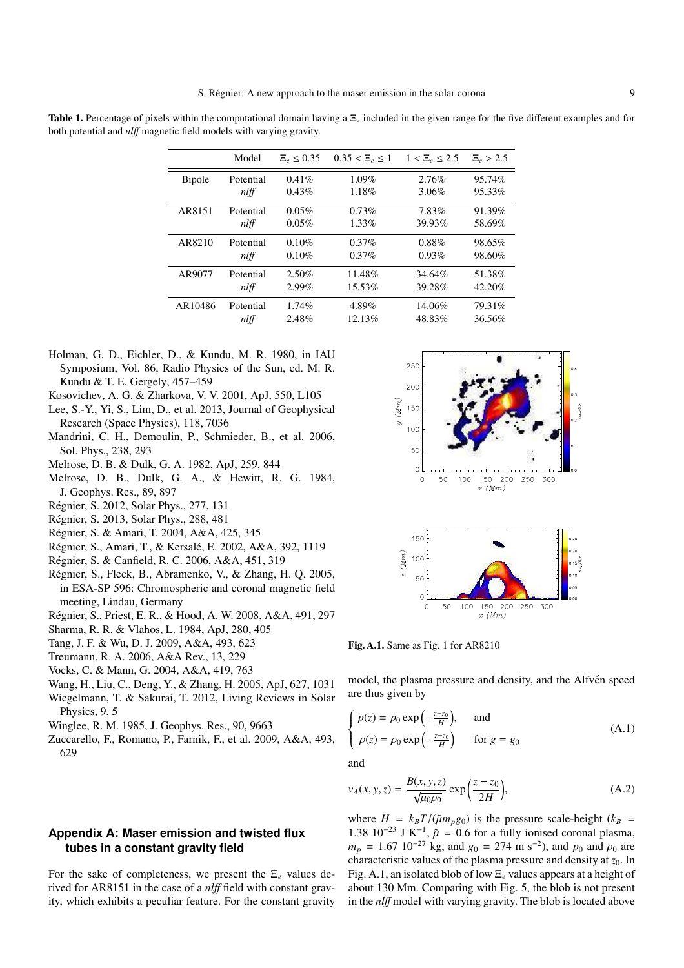Table 1. Percentage of pixels within the computational domain having a Ξ*<sup>e</sup>* included in the given range for the five different examples and for both potential and *nl*ff magnetic field models with varying gravity.

|               | Model     | $\Xi_e \leq 0.35$ | $0.35 < E_{\rho} \leq 1$ | $1 < E$ <sub>e</sub> $\leq 2.5$ | $E_e > 2.5$ |
|---------------|-----------|-------------------|--------------------------|---------------------------------|-------------|
| <b>Bipole</b> | Potential | $0.41\%$          | $1.09\%$                 | 2.76%                           | 95.74%      |
|               | nlff      | 0.43%             | 1.18%                    | 3.06%                           | 95.33%      |
| AR8151        | Potential | $0.05\%$          | 0.73%                    | 7.83%                           | 91.39%      |
|               | nlff      | 0.05%             | $1.33\%$                 | 39.93%                          | 58.69%      |
| AR8210        | Potential | 0.10%             | $0.37\%$                 | $0.88\%$                        | 98.65%      |
|               | nlff      | 0.10%             | 0.37%                    | 0.93%                           | 98.60%      |
| AR9077        | Potential | $2.50\%$          | 11.48%                   | 34.64%                          | 51.38%      |
|               | nlff      | 2.99%             | 15.53%                   | 39.28%                          | 42.20%      |
| AR10486       | Potential | 1.74%             | 4.89%                    | 14.06%                          | 79.31%      |
|               | nlff      | 2.48%             | 12.13%                   | 48.83%                          | 36.56%      |

- Holman, G. D., Eichler, D., & Kundu, M. R. 1980, in IAU Symposium, Vol. 86, Radio Physics of the Sun, ed. M. R. Kundu & T. E. Gergely, 457–459
- Kosovichev, A. G. & Zharkova, V. V. 2001, ApJ, 550, L105
- Lee, S.-Y., Yi, S., Lim, D., et al. 2013, Journal of Geophysical Research (Space Physics), 118, 7036
- Mandrini, C. H., Demoulin, P., Schmieder, B., et al. 2006, Sol. Phys., 238, 293
- Melrose, D. B. & Dulk, G. A. 1982, ApJ, 259, 844
- Melrose, D. B., Dulk, G. A., & Hewitt, R. G. 1984, J. Geophys. Res., 89, 897
- Regnier, S. 2012, Solar Phys., 277, 131 ´
- Regnier, S. 2013, Solar Phys., 288, 481 ´
- Regnier, S. & Amari, T. 2004, A&A, 425, 345 ´
- Régnier, S., Amari, T., & Kersalé, E. 2002, A&A, 392, 1119
- Regnier, S. & Canfield, R. C. 2006, A&A, 451, 319 ´
- Regnier, S., Fleck, B., Abramenko, V., & Zhang, H. Q. 2005, ´ in ESA-SP 596: Chromospheric and coronal magnetic field meeting, Lindau, Germany
- Regnier, S., Priest, E. R., & Hood, A. W. 2008, A&A, 491, 297 ´
- Sharma, R. R. & Vlahos, L. 1984, ApJ, 280, 405
- Tang, J. F. & Wu, D. J. 2009, A&A, 493, 623
- Treumann, R. A. 2006, A&A Rev., 13, 229
- Vocks, C. & Mann, G. 2004, A&A, 419, 763
- Wang, H., Liu, C., Deng, Y., & Zhang, H. 2005, ApJ, 627, 1031
- Wiegelmann, T. & Sakurai, T. 2012, Living Reviews in Solar Physics, 9, 5
- Winglee, R. M. 1985, J. Geophys. Res., 90, 9663
- Zuccarello, F., Romano, P., Farnik, F., et al. 2009, A&A, 493, 629

#### **Appendix A: Maser emission and twisted flux tubes in a constant gravity field**

For the sake of completeness, we present the Ξ*<sup>e</sup>* values derived for AR8151 in the case of a *nl*ff field with constant gravity, which exhibits a peculiar feature. For the constant gravity



Fig. A.1. Same as Fig. 1 for AR8210

model, the plasma pressure and density, and the Alfvén speed are thus given by

$$
\begin{cases}\n p(z) = p_0 \exp\left(-\frac{z - z_0}{H}\right), & \text{and} \\
 \rho(z) = \rho_0 \exp\left(-\frac{z - z_0}{H}\right) & \text{for } g = g_0\n\end{cases}
$$
\n(A.1)

and

$$
v_A(x, y, z) = \frac{B(x, y, z)}{\sqrt{\mu_0 \rho_0}} \exp\left(\frac{z - z_0}{2H}\right),
$$
 (A.2)

where  $H = k_B T / (\tilde{\mu} m_p g_0)$  is the pressure scale-height ( $k_B$  = 1.38 10<sup>-23</sup> J K<sup>-1</sup>,  $\tilde{\mu} = 0.6$  for a fully ionised coronal plasma,  $m_p = 1.67 \, 10^{-27} \, \text{kg}$ , and  $g_0 = 274 \, \text{m s}^{-2}$ ), and  $p_0$  and  $\rho_0$  are characteristic values of the plasma pressure and density at *z*0. In Fig. A.1, an isolated blob of low Ξ*<sup>e</sup>* values appears at a height of about 130 Mm. Comparing with Fig. 5, the blob is not present in the *nl*ff model with varying gravity. The blob is located above